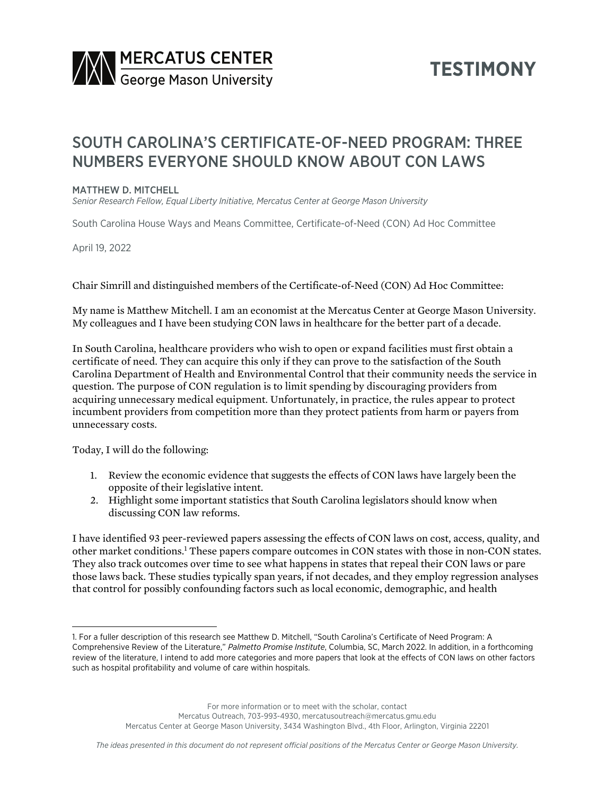

## **TESTIMONY**

## SOUTH CAROLINA'S CERTIFICATE-OF-NEED PROGRAM: THREE NUMBERS EVERYONE SHOULD KNOW ABOUT CON LAWS

## MATTHEW D. MITCHELL

*Senior Research Fellow, Equal Liberty Initiative, Mercatus Center at George Mason University*

South Carolina House Ways and Means Committee, Certificate-of-Need (CON) Ad Hoc Committee

April 19, 2022

Chair Simrill and distinguished members of the Certificate-of-Need (CON) Ad Hoc Committee:

My name is Matthew Mitchell. I am an economist at the Mercatus Center at George Mason University. My colleagues and I have been studying CON laws in healthcare for the better part of a decade.

In South Carolina, healthcare providers who wish to open or expand facilities must first obtain a certificate of need. They can acquire this only if they can prove to the satisfaction of the South Carolina Department of Health and Environmental Control that their community needs the service in question. The purpose of CON regulation is to limit spending by discouraging providers from acquiring unnecessary medical equipment. Unfortunately, in practice, the rules appear to protect incumbent providers from competition more than they protect patients from harm or payers from unnecessary costs.

Today, I will do the following:

- 1. Review the economic evidence that suggests the effects of CON laws have largely been the opposite of their legislative intent.
- 2. Highlight some important statistics that South Carolina legislators should know when discussing CON law reforms.

I have identified 93 peer-reviewed papers assessing the effects of CON laws on cost, access, quality, and other market conditions.1 These papers compare outcomes in CON states with those in non-CON states. They also track outcomes over time to see what happens in states that repeal their CON laws or pare those laws back. These studies typically span years, if not decades, and they employ regression analyses that control for possibly confounding factors such as local economic, demographic, and health

For more information or to meet with the scholar, contact

Mercatus Outreach, 703-993-4930, mercatusoutreach@mercatus.gmu.edu Mercatus Center at George Mason University, 3434 Washington Blvd., 4th Floor, Arlington, Virginia 22201

<sup>1.</sup> For a fuller description of this research see Matthew D. Mitchell, "South Carolina's Certificate of Need Program: A Comprehensive Review of the Literature," *Palmetto Promise Institute*, Columbia, SC, March 2022. In addition, in a forthcoming review of the literature, I intend to add more categories and more papers that look at the effects of CON laws on other factors such as hospital profitability and volume of care within hospitals.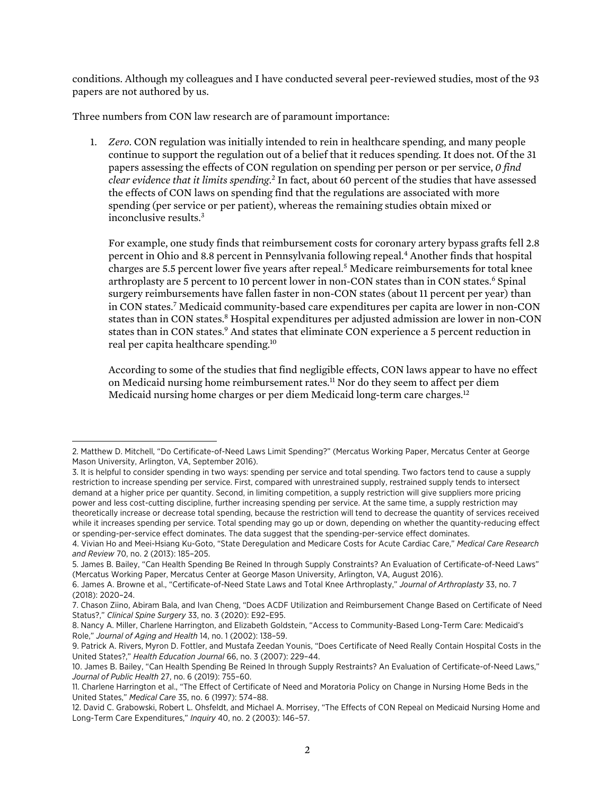conditions. Although my colleagues and I have conducted several peer-reviewed studies, most of the 93 papers are not authored by us.

Three numbers from CON law research are of paramount importance:

1. *Zero.* CON regulation was initially intended to rein in healthcare spending, and many people continue to support the regulation out of a belief that it reduces spending. It does not. Of the 31 papers assessing the effects of CON regulation on spending per person or per service, *0 find clear evidence that it limits spending*. <sup>2</sup> In fact, about 60 percent of the studies that have assessed the effects of CON laws on spending find that the regulations are associated with more spending (per service or per patient), whereas the remaining studies obtain mixed or inconclusive results.3

For example, one study finds that reimbursement costs for coronary artery bypass grafts fell 2.8 percent in Ohio and 8.8 percent in Pennsylvania following repeal.4 Another finds that hospital charges are 5.5 percent lower five years after repeal.5 Medicare reimbursements for total knee arthroplasty are 5 percent to 10 percent lower in non-CON states than in CON states.<sup>6</sup> Spinal surgery reimbursements have fallen faster in non-CON states (about 11 percent per year) than in CON states.7 Medicaid community-based care expenditures per capita are lower in non-CON states than in CON states.<sup>8</sup> Hospital expenditures per adjusted admission are lower in non-CON states than in CON states.<sup>9</sup> And states that eliminate CON experience a 5 percent reduction in real per capita healthcare spending.10

According to some of the studies that find negligible effects, CON laws appear to have no effect on Medicaid nursing home reimbursement rates.<sup>11</sup> Nor do they seem to affect per diem Medicaid nursing home charges or per diem Medicaid long-term care charges.<sup>12</sup>

<sup>2.</sup> Matthew D. Mitchell, "Do Certificate-of-Need Laws Limit Spending?" (Mercatus Working Paper, Mercatus Center at George Mason University, Arlington, VA, September 2016).

<sup>3.</sup> It is helpful to consider spending in two ways: spending per service and total spending. Two factors tend to cause a supply restriction to increase spending per service. First, compared with unrestrained supply, restrained supply tends to intersect demand at a higher price per quantity. Second, in limiting competition, a supply restriction will give suppliers more pricing power and less cost-cutting discipline, further increasing spending per service. At the same time, a supply restriction may theoretically increase or decrease total spending, because the restriction will tend to decrease the quantity of services received while it increases spending per service. Total spending may go up or down, depending on whether the quantity-reducing effect or spending-per-service effect dominates. The data suggest that the spending-per-service effect dominates.

<sup>4.</sup> Vivian Ho and Meei-Hsiang Ku-Goto, "State Deregulation and Medicare Costs for Acute Cardiac Care," *Medical Care Research and Review* 70, no. 2 (2013): 185–205.

<sup>5.</sup> James B. Bailey, "Can Health Spending Be Reined In through Supply Constraints? An Evaluation of Certificate-of-Need Laws" (Mercatus Working Paper, Mercatus Center at George Mason University, Arlington, VA, August 2016).

<sup>6.</sup> James A. Browne et al., "Certificate-of-Need State Laws and Total Knee Arthroplasty," *Journal of Arthroplasty* 33, no. 7 (2018): 2020–24.

<sup>7.</sup> Chason Ziino, Abiram Bala, and Ivan Cheng, "Does ACDF Utilization and Reimbursement Change Based on Certificate of Need Status?," *Clinical Spine Surgery* 33, no. 3 (2020): E92–E95.

<sup>8.</sup> Nancy A. Miller, Charlene Harrington, and Elizabeth Goldstein, "Access to Community-Based Long-Term Care: Medicaid's Role," *Journal of Aging and Health* 14, no. 1 (2002): 138–59.

<sup>9.</sup> Patrick A. Rivers, Myron D. Fottler, and Mustafa Zeedan Younis, "Does Certificate of Need Really Contain Hospital Costs in the United States?," *Health Education Journal* 66, no. 3 (2007): 229–44.

<sup>10.</sup> James B. Bailey, "Can Health Spending Be Reined In through Supply Restraints? An Evaluation of Certificate-of-Need Laws," *Journal of Public Health* 27, no. 6 (2019): 755–60.

<sup>11.</sup> Charlene Harrington et al., "The Effect of Certificate of Need and Moratoria Policy on Change in Nursing Home Beds in the United States," *Medical Care* 35, no. 6 (1997): 574–88.

<sup>12.</sup> David C. Grabowski, Robert L. Ohsfeldt, and Michael A. Morrisey, "The Effects of CON Repeal on Medicaid Nursing Home and Long-Term Care Expenditures," *Inquiry* 40, no. 2 (2003): 146–57.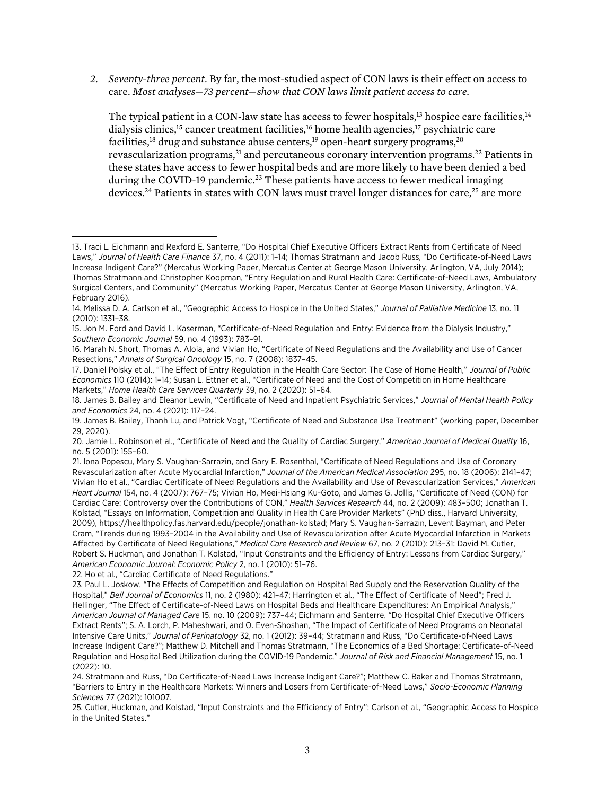*2. Seventy-three percent.* By far, the most-studied aspect of CON laws is their effect on access to care. *Most analyses—73 percent—show that CON laws limit patient access to care.*

The typical patient in a CON-law state has access to fewer hospitals, $^{13}$  hospice care facilities, $^{14}$ dialysis clinics,<sup>15</sup> cancer treatment facilities,<sup>16</sup> home health agencies,<sup>17</sup> psychiatric care facilities,<sup>18</sup> drug and substance abuse centers,<sup>19</sup> open-heart surgery programs,<sup>20</sup> revascularization programs,<sup>21</sup> and percutaneous coronary intervention programs.<sup>22</sup> Patients in these states have access to fewer hospital beds and are more likely to have been denied a bed during the COVID-19 pandemic.<sup>23</sup> These patients have access to fewer medical imaging devices.<sup>24</sup> Patients in states with CON laws must travel longer distances for care.<sup>25</sup> are more

22. Ho et al., "Cardiac Certificate of Need Regulations."

<sup>13.</sup> Traci L. Eichmann and Rexford E. Santerre, "Do Hospital Chief Executive Officers Extract Rents from Certificate of Need Laws," *Journal of Health Care Finance* 37, no. 4 (2011): 1–14; Thomas Stratmann and Jacob Russ, "Do Certificate-of-Need Laws Increase Indigent Care?" (Mercatus Working Paper, Mercatus Center at George Mason University, Arlington, VA, July 2014); Thomas Stratmann and Christopher Koopman, "Entry Regulation and Rural Health Care: Certificate-of-Need Laws, Ambulatory Surgical Centers, and Community" (Mercatus Working Paper, Mercatus Center at George Mason University, Arlington, VA, February 2016).

<sup>14.</sup> Melissa D. A. Carlson et al., "Geographic Access to Hospice in the United States," *Journal of Palliative Medicine* 13, no. 11 (2010): 1331–38.

<sup>15.</sup> Jon M. Ford and David L. Kaserman, "Certificate-of-Need Regulation and Entry: Evidence from the Dialysis Industry," *Southern Economic Journal* 59, no. 4 (1993): 783–91.

<sup>16.</sup> Marah N. Short, Thomas A. Aloia, and Vivian Ho, "Certificate of Need Regulations and the Availability and Use of Cancer Resections," *Annals of Surgical Oncology* 15, no. 7 (2008): 1837–45.

<sup>17.</sup> Daniel Polsky et al., "The Effect of Entry Regulation in the Health Care Sector: The Case of Home Health," *Journal of Public Economics* 110 (2014): 1–14; Susan L. Ettner et al., "Certificate of Need and the Cost of Competition in Home Healthcare Markets," *Home Health Care Services Quarterly* 39, no. 2 (2020): 51–64.

<sup>18.</sup> James B. Bailey and Eleanor Lewin, "Certificate of Need and Inpatient Psychiatric Services," *Journal of Mental Health Policy and Economics* 24, no. 4 (2021): 117–24.

<sup>19.</sup> James B. Bailey, Thanh Lu, and Patrick Vogt, "Certificate of Need and Substance Use Treatment" (working paper, December 29, 2020).

<sup>20.</sup> Jamie L. Robinson et al., "Certificate of Need and the Quality of Cardiac Surgery," *American Journal of Medical Quality* 16, no. 5 (2001): 155–60.

<sup>21.</sup> Iona Popescu, Mary S. Vaughan-Sarrazin, and Gary E. Rosenthal, "Certificate of Need Regulations and Use of Coronary Revascularization after Acute Myocardial Infarction," *Journal of the American Medical Association* 295, no. 18 (2006): 2141–47; Vivian Ho et al., "Cardiac Certificate of Need Regulations and the Availability and Use of Revascularization Services," *American Heart Journal* 154, no. 4 (2007): 767–75; Vivian Ho, Meei-Hsiang Ku-Goto, and James G. Jollis, "Certificate of Need (CON) for Cardiac Care: Controversy over the Contributions of CON," *Health Services Research* 44, no. 2 (2009): 483–500; Jonathan T. Kolstad, "Essays on Information, Competition and Quality in Health Care Provider Markets" (PhD diss., Harvard University, 2009), [https://healthpolicy.fas.harvard.edu/people/jonathan-kolstad;](https://healthpolicy.fas.harvard.edu/people/jonathan-kolstad) Mary S. Vaughan-Sarrazin, Levent Bayman, and Peter Cram, "Trends during 1993–2004 in the Availability and Use of Revascularization after Acute Myocardial Infarction in Markets Affected by Certificate of Need Regulations," *Medical Care Research and Review* 67, no. 2 (2010): 213–31; David M. Cutler, Robert S. Huckman, and Jonathan T. Kolstad, "Input Constraints and the Efficiency of Entry: Lessons from Cardiac Surgery," *American Economic Journal: Economic Policy* 2, no. 1 (2010): 51–76.

<sup>23.</sup> Paul L. Joskow, "The Effects of Competition and Regulation on Hospital Bed Supply and the Reservation Quality of the Hospital," *Bell Journal of Economics* 11, no. 2 (1980): 421–47; Harrington et al., "The Effect of Certificate of Need"; Fred J. Hellinger, "The Effect of Certificate-of-Need Laws on Hospital Beds and Healthcare Expenditures: An Empirical Analysis," *American Journal of Managed Care* 15, no. 10 (2009): 737–44; Eichmann and Santerre, "Do Hospital Chief Executive Officers Extract Rents"; S. A. Lorch, P. Maheshwari, and O. Even-Shoshan, "The Impact of Certificate of Need Programs on Neonatal Intensive Care Units," *Journal of Perinatology* 32, no. 1 (2012): 39–44; Stratmann and Russ, "Do Certificate-of-Need Laws Increase Indigent Care?"; Matthew D. Mitchell and Thomas Stratmann, "The Economics of a Bed Shortage: Certificate-of-Need Regulation and Hospital Bed Utilization during the COVID-19 Pandemic," *Journal of Risk and Financial Management* 15, no. 1  $(2022)$  $\cdot$  10.

<sup>24.</sup> Stratmann and Russ, "Do Certificate-of-Need Laws Increase Indigent Care?"; Matthew C. Baker and Thomas Stratmann, "Barriers to Entry in the Healthcare Markets: Winners and Losers from Certificate-of-Need Laws," *Socio-Economic Planning Sciences* 77 (2021): 101007.

<sup>25.</sup> Cutler, Huckman, and Kolstad, "Input Constraints and the Efficiency of Entry"; Carlson et al., "Geographic Access to Hospice in the United States."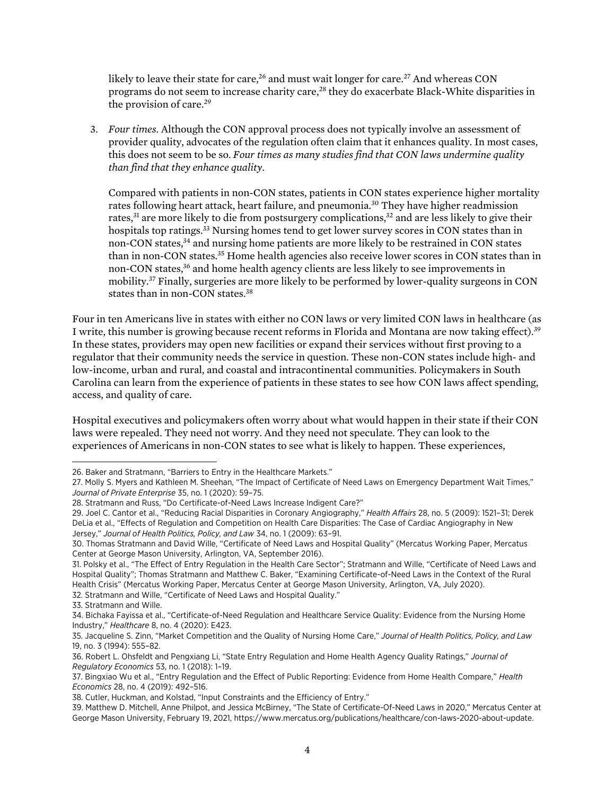likely to leave their state for care,<sup>26</sup> and must wait longer for care.<sup>27</sup> And whereas CON programs do not seem to increase charity care,<sup>28</sup> they do exacerbate Black-White disparities in the provision of care.<sup>29</sup>

3. *Four times.* Although the CON approval process does not typically involve an assessment of provider quality, advocates of the regulation often claim that it enhances quality. In most cases, this does not seem to be so. *Four times as many studies find that CON laws undermine quality than find that they enhance quality*.

Compared with patients in non-CON states, patients in CON states experience higher mortality rates following heart attack, heart failure, and pneumonia.<sup>30</sup> They have higher readmission rates, $31$  are more likely to die from postsurgery complications, $32$  and are less likely to give their hospitals top ratings.<sup>33</sup> Nursing homes tend to get lower survey scores in CON states than in non-CON states,<sup>34</sup> and nursing home patients are more likely to be restrained in CON states than in non-CON states.35 Home health agencies also receive lower scores in CON states than in non-CON states,<sup>36</sup> and home health agency clients are less likely to see improvements in mobility.37 Finally, surgeries are more likely to be performed by lower-quality surgeons in CON states than in non-CON states.<sup>38</sup>

Four in ten Americans live in states with either no CON laws or very limited CON laws in healthcare (as I write, this number is growing because recent reforms in Florida and Montana are now taking effect).39 In these states, providers may open new facilities or expand their services without first proving to a regulator that their community needs the service in question. These non-CON states include high- and low-income, urban and rural, and coastal and intracontinental communities. Policymakers in South Carolina can learn from the experience of patients in these states to see how CON laws affect spending, access, and quality of care.

Hospital executives and policymakers often worry about what would happen in their state if their CON laws were repealed. They need not worry. And they need not speculate. They can look to the experiences of Americans in non-CON states to see what is likely to happen. These experiences,

<sup>26.</sup> Baker and Stratmann, "Barriers to Entry in the Healthcare Markets."

<sup>27.</sup> Molly S. Myers and Kathleen M. Sheehan, "The Impact of Certificate of Need Laws on Emergency Department Wait Times," *Journal of Private Enterprise* 35, no. 1 (2020): 59–75.

<sup>28.</sup> Stratmann and Russ, "Do Certificate-of-Need Laws Increase Indigent Care?"

<sup>29.</sup> Joel C. Cantor et al., "Reducing Racial Disparities in Coronary Angiography," *Health Affairs* 28, no. 5 (2009): 1521–31; Derek DeLia et al., "Effects of Regulation and Competition on Health Care Disparities: The Case of Cardiac Angiography in New Jersey," *Journal of Health Politics, Policy, and Law* 34, no. 1 (2009): 63–91.

<sup>30.</sup> Thomas Stratmann and David Wille, "Certificate of Need Laws and Hospital Quality" (Mercatus Working Paper, Mercatus Center at George Mason University, Arlington, VA, September 2016).

<sup>31.</sup> Polsky et al., "The Effect of Entry Regulation in the Health Care Sector"; Stratmann and Wille, "Certificate of Need Laws and Hospital Quality"; Thomas Stratmann and Matthew C. Baker, "Examining Certificate-of-Need Laws in the Context of the Rural Health Crisis" (Mercatus Working Paper, Mercatus Center at George Mason University, Arlington, VA, July 2020). 32. Stratmann and Wille, "Certificate of Need Laws and Hospital Quality."

<sup>33.</sup> Stratmann and Wille.

<sup>34.</sup> Bichaka Fayissa et al., "Certificate-of-Need Regulation and Healthcare Service Quality: Evidence from the Nursing Home Industry," *Healthcare* 8, no. 4 (2020): E423.

<sup>35.</sup> Jacqueline S. Zinn, "Market Competition and the Quality of Nursing Home Care," *Journal of Health Politics, Policy, and Law* 19, no. 3 (1994): 555–82.

<sup>36.</sup> Robert L. Ohsfeldt and Pengxiang Li, "State Entry Regulation and Home Health Agency Quality Ratings," *Journal of Regulatory Economics* 53, no. 1 (2018): 1–19.

<sup>37.</sup> Bingxiao Wu et al., "Entry Regulation and the Effect of Public Reporting: Evidence from Home Health Compare," *Health Economics* 28, no. 4 (2019): 492–516.

<sup>38.</sup> Cutler, Huckman, and Kolstad, "Input Constraints and the Efficiency of Entry."

<sup>39.</sup> Matthew D. Mitchell, Anne Philpot, and Jessica McBirney, "The State of Certificate-Of-Need Laws in 2020," Mercatus Center at George Mason University, February 19, 2021, [https://www.mercatus.org/publications/healthcare/con-laws-2020-about-update.](https://www.mercatus.org/publications/healthcare/con-laws-2020-about-update)